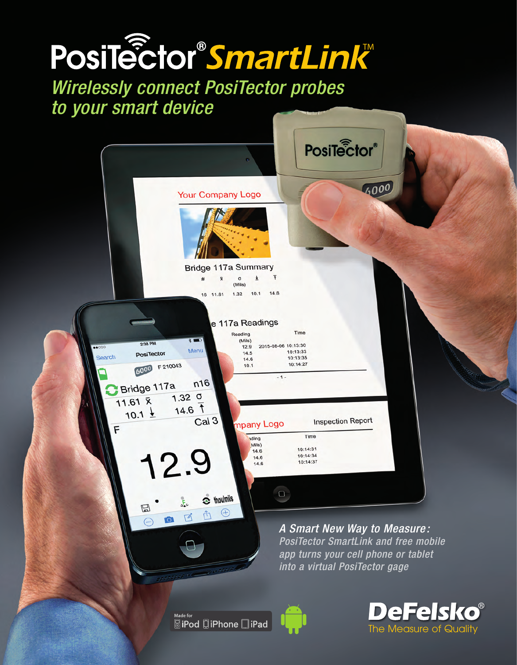# PosiTector®SmartLink™

*Wirelessly connect PosiTector probes to your smart device*